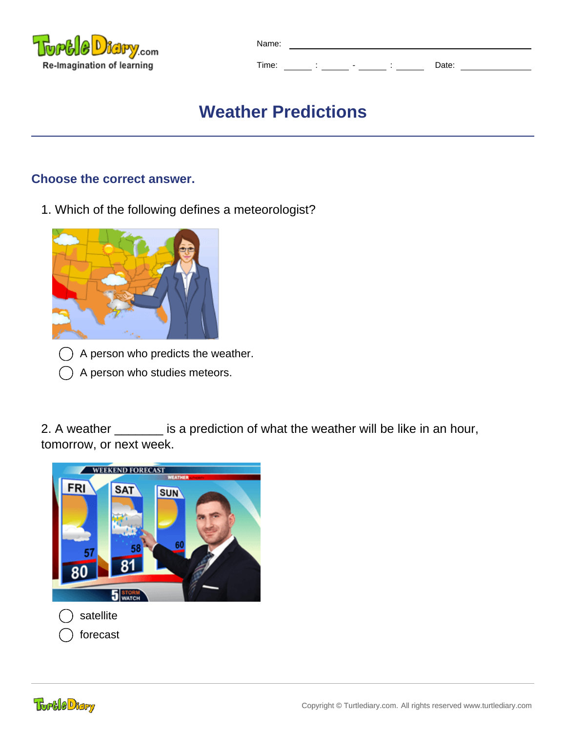

| Name: |                          |       |  |
|-------|--------------------------|-------|--|
| Time: | $\overline{\phantom{0}}$ | Date: |  |

# **Weather Predictions**

# **Choose the correct answer.**

1. Which of the following defines a meteorologist?



- A person who predicts the weather.
- A person who studies meteors.

2. A weather \_\_\_\_\_\_\_ is a prediction of what the weather will be like in an hour, tomorrow, or next week.

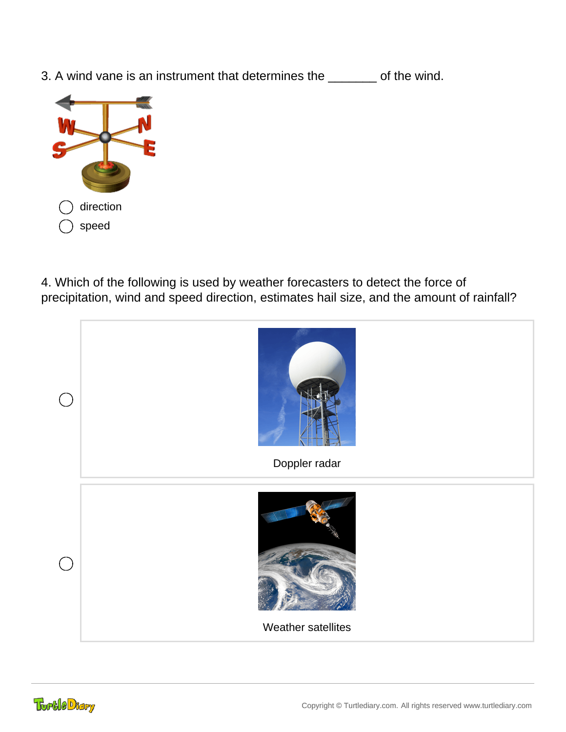3. A wind vane is an instrument that determines the \_\_\_\_\_\_\_ of the wind.



4. Which of the following is used by weather forecasters to detect the force of precipitation, wind and speed direction, estimates hail size, and the amount of rainfall?

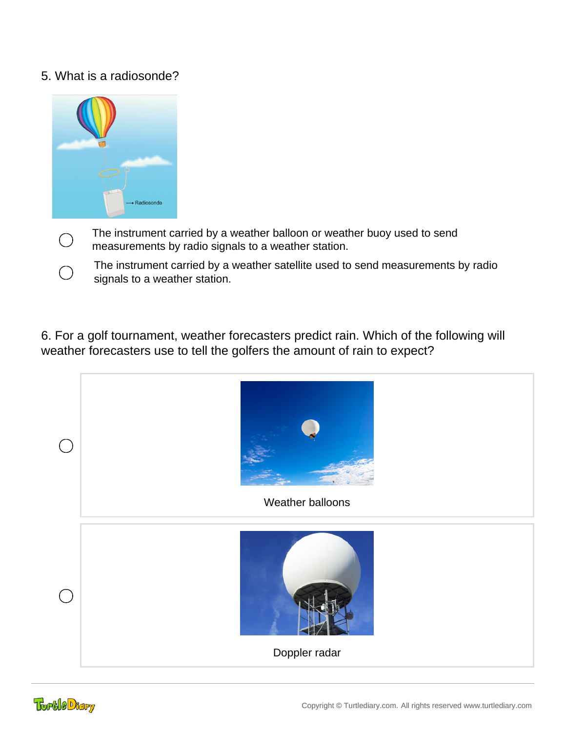### 5. What is a radiosonde?



- The instrument carried by a weather balloon or weather buoy used to send measurements by radio signals to a weather station.
- The instrument carried by a weather satellite used to send measurements by radio signals to a weather station.

6. For a golf tournament, weather forecasters predict rain. Which of the following will weather forecasters use to tell the golfers the amount of rain to expect?

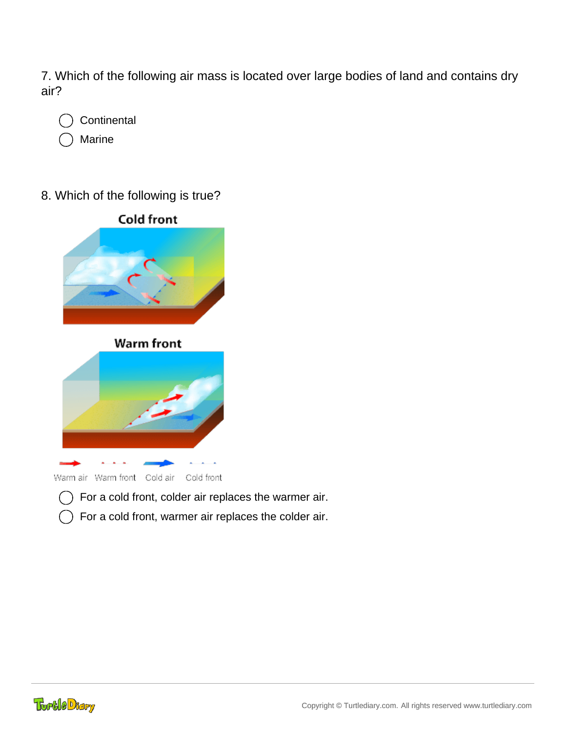7. Which of the following air mass is located over large bodies of land and contains dry air?

**Continental** Marine

8. Which of the following is true?



- For a cold front, colder air replaces the warmer air.
- For a cold front, warmer air replaces the colder air.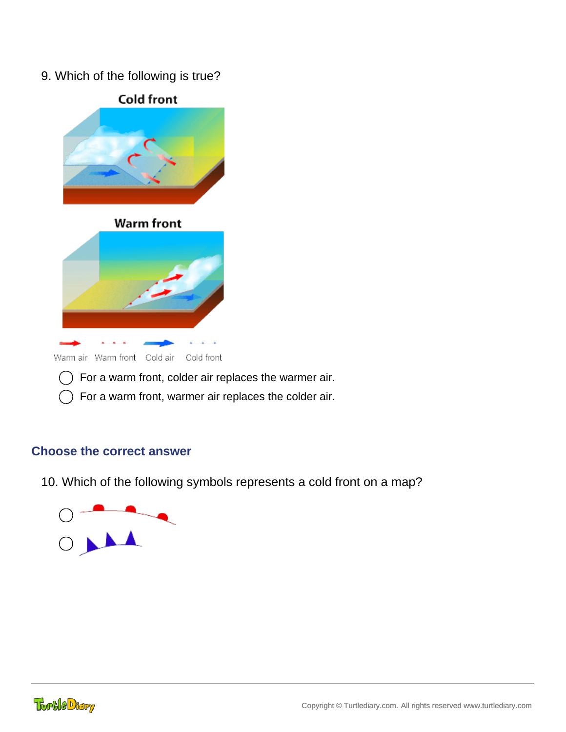9. Which of the following is true?



 $\bigcap$  For a warm front, warmer air replaces the colder air.

# **Choose the correct answer**

10. Which of the following symbols represents a cold front on a map?

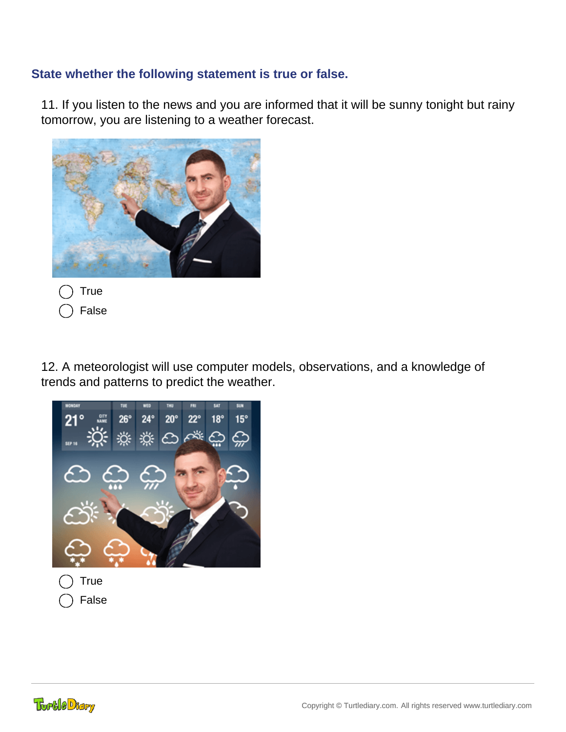# **State whether the following statement is true or false.**

11. If you listen to the news and you are informed that it will be sunny tonight but rainy tomorrow, you are listening to a weather forecast.



False

12. A meteorologist will use computer models, observations, and a knowledge of trends and patterns to predict the weather.



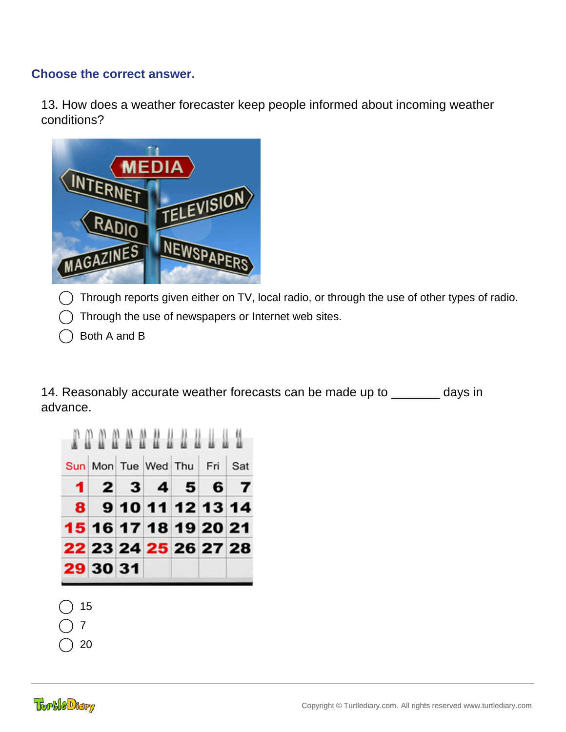### **Choose the correct answer.**

13. How does a weather forecaster keep people informed about incoming weather conditions?



 $\bigcap$  Through reports given either on TV, local radio, or through the use of other types of radio.

- Through the use of newspapers or Internet web sites.
- Both A and B

14. Reasonably accurate weather forecasts can be made up to \_\_\_\_\_\_\_ days in advance.



- 15
- 7
- 20